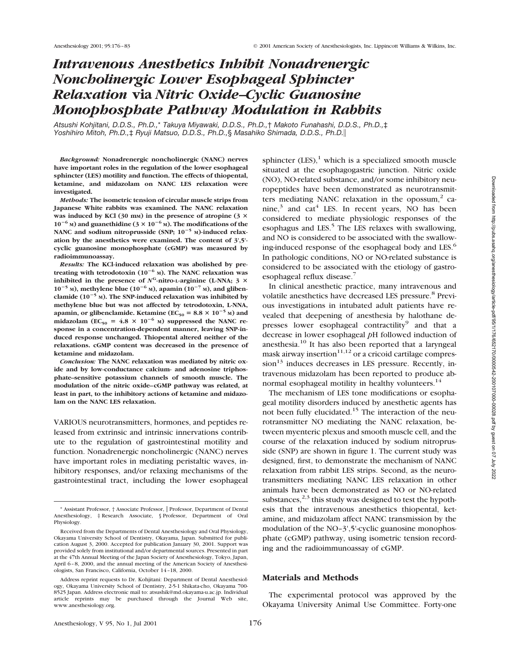# *Intravenous Anesthetics Inhibit Nonadrenergic Noncholinergic Lower Esophageal Sphincter Relaxation* **via** *Nitric Oxide–Cyclic Guanosine Monophosphate Pathway Modulation in Rabbits*

*Atsushi Kohjitani, D.D.S., Ph.D.,*\* *Takuya Miyawaki, D.D.S., Ph.D.,*† *Makoto Funahashi, D.D.S., Ph.D.,*‡ *Yoshihiro Mitoh, Ph.D.,*‡ *Ryuji Matsuo, D.D.S., Ph.D.,*§ *Masahiko Shimada, D.D.S., Ph.D.*i

*Background:* **Nonadrenergic noncholinergic (NANC) nerves have important roles in the regulation of the lower esophageal sphincter (LES) motility and function. The effects of thiopental, ketamine, and midazolam on NANC LES relaxation were investigated.**

*Methods:* **The isometric tension of circular muscle strips from Japanese White rabbits was examined. The NANC relaxation** was induced by KCl (30 mm) in the presence of atropine ( $3 \times$  $10^{-6}$  M) and guanethidine ( $3 \times 10^{-6}$  M). The modifications of the NANC and sodium nitroprusside (SNP;  $10^{-5}$  M)-induced relax**ation by the anesthetics were examined. The content of 3',5' cyclic guanosine monophosphate (cGMP) was measured by radioimmunoassay.**

*Results:* **The KCl-induced relaxation was abolished by pre**treating with tetrodotoxin  $(10^{-6} \text{ M})$ . The NANC relaxation was **inhibited in the presence of**  $N^G$ **-nitro-L-arginine (L-NNA; 3**  $\times$  $10^{-5}$  M), methylene blue  $(10^{-6}$  M), apamin  $(10^{-7}$  M), and gliben**clamide (10**2**<sup>5</sup> M). The SNP-induced relaxation was inhibited by methylene blue but was not affected by tetrodotoxin, L-NNA,** apamin, or glibenclamide. Ketamine (EC<sub>50</sub> = 8.8  $\times$  10<sup>-5</sup> M) and midazolam (EC<sub>50</sub> = 4.8  $\times$  10<sup>-6</sup> M) suppressed the NANC re**sponse in a concentration-dependent manner, leaving SNP-induced response unchanged. Thiopental altered neither of the relaxations. cGMP content was decreased in the presence of ketamine and midazolam.**

*Conclusion:* **The NANC relaxation was mediated by nitric oxide and by low-conductance calcium- and adenosine triphosphate–sensitive potassium channels of smooth muscle. The modulation of the nitric oxide–cGMP pathway was related, at least in part, to the inhibitory actions of ketamine and midazolam on the NANC LES relaxation.**

VARIOUS neurotransmitters, hormones, and peptides released from extrinsic and intrinsic innervations contribute to the regulation of gastrointestinal motility and function. Nonadrenergic noncholinergic (NANC) nerves have important roles in mediating peristaltic waves, inhibitory responses, and/or relaxing mechanisms of the gastrointestinal tract, including the lower esophageal

sphincter  $(LES)<sup>1</sup>$  which is a specialized smooth muscle situated at the esophagogastric junction. Nitric oxide (NO), NO-related substance, and/or some inhibitory neuropeptides have been demonstrated as neurotransmitters mediating NANC relaxation in the opossum, $<sup>2</sup>$  ca-</sup> nine, $3$  and cat<sup>4</sup> LES. In recent years, NO has been considered to mediate physiologic responses of the esophagus and LES.<sup>5</sup> The LES relaxes with swallowing, and NO is considered to be associated with the swallowing-induced response of the esophageal body and LES.<sup>6</sup> In pathologic conditions, NO or NO-related substance is considered to be associated with the etiology of gastroesophageal reflux disease.7

In clinical anesthetic practice, many intravenous and volatile anesthetics have decreased LES pressure.<sup>8</sup> Previous investigations in intubated adult patients have revealed that deepening of anesthesia by halothane depresses lower esophageal contractility<sup>9</sup> and that a decrease in lower esophageal *p*H followed induction of anesthesia.<sup>10</sup> It has also been reported that a laryngeal mask airway insertion $11,12$  or a cricoid cartilage compres $sion<sup>13</sup>$  induces decreases in LES pressure. Recently, intravenous midazolam has been reported to produce abnormal esophageal motility in healthy volunteers.<sup>14</sup>

The mechanism of LES tone modifications or esophageal motility disorders induced by anesthetic agents has not been fully elucidated.<sup>15</sup> The interaction of the neurotransmitter NO mediating the NANC relaxation, between myenteric plexus and smooth muscle cell, and the course of the relaxation induced by sodium nitroprusside (SNP) are shown in figure 1. The current study was designed, first, to demonstrate the mechanism of NANC relaxation from rabbit LES strips. Second, as the neurotransmitters mediating NANC LES relaxation in other animals have been demonstrated as NO or NO-related substances, $2,3$  this study was designed to test the hypothesis that the intravenous anesthetics thiopental, ketamine, and midazolam affect NANC transmission by the modulation of the NO-3',5'-cyclic guanosine monophosphate (cGMP) pathway, using isometric tension recording and the radioimmunoassay of cGMP.

# **Materials and Methods**

The experimental protocol was approved by the Okayama University Animal Use Committee. Forty-one

<sup>\*</sup> Assistant Professor, † Associate Professor, i Professor, Department of Dental Anesthesiology, ‡ Research Associate, § Professor, Department of Oral Physiology.

Received from the Departments of Dental Anesthesiology and Oral Physiology, Okayama University School of Dentistry, Okayama, Japan. Submitted for publication August 3, 2000. Accepted for publication January 30, 2001. Support was provided solely from institutional and/or departmental sources. Presented in part at the 47th Annual Meeting of the Japan Society of Anesthesiology, Tokyo, Japan, April 6–8, 2000, and the annual meeting of the American Society of Anesthesiologists, San Francisco, California, October 14–18, 2000.

Address reprint requests to Dr. Kohjitani: Department of Dental Anesthesiology, Okayama University School of Dentistry, 2-5-1 Shikata-cho, Okayama 700- 8525 Japan. Address electronic mail to: atsushik@md.okayama-u.ac.jp. Individual article reprints may be purchased through the Journal www.anesthesiology.org.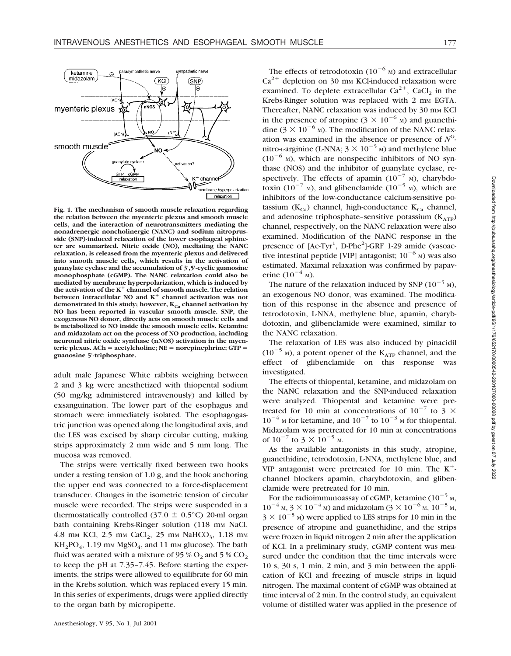

**Fig. 1. The mechanism of smooth muscle relaxation regarding the relation between the myenteric plexus and smooth muscle cells, and the interaction of neurotransmitters mediating the nonadrenergic noncholinergic (NANC) and sodium nitroprusside (SNP)-induced relaxation of the lower esophageal sphincter are summarized. Nitric oxide (NO), mediating the NANC relaxation, is released from the myenteric plexus and delivered into smooth muscle cells, which results in the activation of guanylate cyclase and the accumulation of 3',5'-cyclic guanosine monophosphate (cGMP). The NANC relaxation could also be mediated by membrane hyperpolarization, which is induced by the activation of the K**<sup>1</sup> **channel of smooth muscle. The relation between intracellular NO and K**<sup>1</sup> **channel activation was not** demonstrated in this study; however, K<sub>Ca</sub> channel activation by **NO has been reported in vascular smooth muscle. SNP, the exogenous NO donor, directly acts on smooth muscle cells and is metabolized to NO inside the smooth muscle cells. Ketamine and midazolam act on the process of NO production, including neuronal nitric oxide synthase (nNOS) activation in the myenteric plexus. ACh** = acetylcholine; NE = norepinephrine; GTP = **guanosine 5'-triphosphate.**

adult male Japanese White rabbits weighing between 2 and 3 kg were anesthetized with thiopental sodium (50 mg/kg administered intravenously) and killed by exsanguination. The lower part of the esophagus and stomach were immediately isolated. The esophagogastric junction was opened along the longitudinal axis, and the LES was excised by sharp circular cutting, making strips approximately 2 mm wide and 5 mm long. The mucosa was removed.

The strips were vertically fixed between two hooks under a resting tension of 1.0 g, and the hook anchoring the upper end was connected to a force-displacement transducer. Changes in the isometric tension of circular muscle were recorded. The strips were suspended in a thermostatically controlled (37.0  $\pm$  0.5°C) 20-ml organ bath containing Krebs-Ringer solution (118 mm NaCl, 4.8 mm KCl, 2.5 mm CaCl<sub>2</sub>, 25 mm NaHCO<sub>3</sub>, 1.18 mm  $KH_2PO_4$ , 1.19 mm MgSO<sub>4</sub>, and 11 mm glucose). The bath fluid was aerated with a mixture of 95 %  $O_2$  and 5 %  $CO_2$ to keep the pH at 7.35–7.45. Before starting the experiments, the strips were allowed to equilibrate for 60 min in the Krebs solution, which was replaced every 15 min. In this series of experiments, drugs were applied directly to the organ bath by micropipette.

The effects of tetrodotoxin  $(10^{-6}$  M) and extracellular  $Ca^{2+}$  depletion on 30 mm KCl-induced relaxation were examined. To deplete extracellular  $Ca^{2+}$ , CaCl<sub>2</sub> in the Krebs-Ringer solution was replaced with 2 mm EGTA. Thereafter, NANC relaxation was induced by 30 mm KCl in the presence of atropine  $(3 \times 10^{-6} \text{ m})$  and guanethidine ( $3 \times 10^{-6}$  M). The modification of the NANC relaxation was examined in the absence or presence of  $N<sup>G</sup>$ nitro-L-arginine (L-NNA;  $3 \times 10^{-5}$  M) and methylene blue  $(10^{-6}$  M), which are nonspecific inhibitors of NO synthase (NOS) and the inhibitor of guanylate cyclase, respectively. The effects of apamin  $(10^{-7}$  M), charybdotoxin (10<sup>-7</sup> M), and glibenclamide (10<sup>-5</sup> M), which are inhibitors of the low-conductance calcium-sensitive potassium ( $K_{Ca}$ ) channel, high-conductance  $K_{Ca}$  channel, and adenosine triphosphate–sensitive potassium  $(K<sub>ATP</sub>)$ channel, respectively, on the NANC relaxation were also examined. Modification of the NANC response in the presence of [Ac-Tyr<sup>1</sup>, D-Phe<sup>2</sup>]-GRF 1-29 amide (vasoactive intestinal peptide [VIP] antagonist;  $10^{-6}$  M) was also estimated. Maximal relaxation was confirmed by papaverine  $(10^{-4}$  M).

The nature of the relaxation induced by SNP  $(10^{-5}$  M). an exogenous NO donor, was examined. The modification of this response in the absence and presence of tetrodotoxin, L-NNA, methylene blue, apamin, charybdotoxin, and glibenclamide were examined, similar to the NANC relaxation.

The relaxation of LES was also induced by pinacidil  $(10^{-5}$  M), a potent opener of the K<sub>ATP</sub> channel, and the effect of glibenclamide on this response was investigated.

The effects of thiopental, ketamine, and midazolam on the NANC relaxation and the SNP-induced relaxation were analyzed. Thiopental and ketamine were pretreated for 10 min at concentrations of  $10^{-7}$  to 3  $\times$  $10^{-4}$  M for ketamine, and  $10^{-7}$  to  $10^{-3}$  M for thiopental. Midazolam was pretreated for 10 min at concentrations of  $10^{-7}$  to  $3 \times 10^{-5}$  M.

As the available antagonists in this study, atropine, guanethidine, tetrodotoxin, L-NNA, methylene blue, and VIP antagonist were pretreated for 10 min. The  $K^+$ channel blockers apamin, charybdotoxin, and glibenclamide were pretreated for 10 min.

For the radioimmunoassay of cGMP, ketamine  $(10^{-5})$  M,  $10^{-4}$  M,  $3 \times 10^{-4}$  M) and midazolam ( $3 \times 10^{-6}$  M,  $10^{-5}$  M,  $3 \times 10^{-5}$  M) were applied to LES strips for 10 min in the presence of atropine and guanethidine, and the strips were frozen in liquid nitrogen 2 min after the application of KCl. In a preliminary study, cGMP content was measured under the condition that the time intervals were 10 s, 30 s, 1 min, 2 min, and 3 min between the application of KCl and freezing of muscle strips in liquid nitrogen. The maximal content of cGMP was obtained at time interval of 2 min. In the control study, an equivalent volume of distilled water was applied in the presence of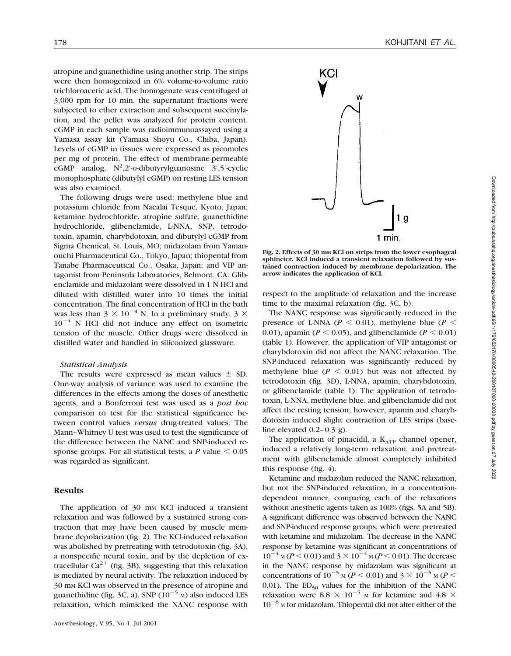atropine and guanethidine using another strip. The strips were then homogenized in 6% volume-to-volume ratio trichloroacetic acid. The homogenate was centrifuged at 3,000 rpm for 10 min, the supernatant fractions were subjected to ether extraction and subsequent succinylation, and the pellet was analyzed for protein content. cGMP in each sample was radioimmunoassayed using a Yamasa assay kit (Yamasa Shoyu Co., Chiba, Japan). Levels of cGMP in tissues were expressed as picomoles per mg of protein. The effect of membrane-permeable cGMP analog, N<sup>2</sup>,2'-o-dibutyrylguanosine 3',5'-cyclic monophosphate (dibutylyl cGMP) on resting LES tension was also examined.

The following drugs were used: methylene blue and potassium chloride from Nacalai Tesque, Kyoto, Japan; ketamine hydrochloride, atropine sulfate, guanethidine hydrochloride, glibenclamide, L-NNA, SNP, tetrodotoxin, apamin, charybdotoxin, and dibutylyl cGMP from Sigma Chemical, St. Louis, MO; midazolam from Yamanouchi Pharmaceutical Co., Tokyo, Japan; thiopental from Tanabe Pharmaceutical Co., Osaka, Japan; and VIP antagonist from Peninsula Laboratories, Belmont, CA. Glibenclamide and midazolam were dissolved in 1 N HCl and diluted with distilled water into 10 times the initial concentration. The final concentration of HCl in the bath was less than 3  $\times$  10<sup>-4</sup> N. In a preliminary study, 3  $\times$  $10^{-4}$  N HCl did not induce any effect on isometric tension of the muscle. Other drugs were dissolved in distilled water and handled in siliconized glassware.

### *Statistical Analysis*

The results were expressed as mean values  $\pm$  SD. One-way analysis of variance was used to examine the differences in the effects among the doses of anesthetic agents, and a Bonferroni test was used as a *post hoc* comparison to test for the statistical significance between control values *versus* drug-treated values. The Mann–Whitney U test was used to test the significance of the difference between the NANC and SNP-induced response groups. For all statistical tests, a  $P$  value  $\leq 0.05$ was regarded as significant.

## **Results**

The application of 30 mm KCl induced a transient relaxation and was followed by a sustained strong contraction that may have been caused by muscle membrane depolarization (fig. 2). The KCl-induced relaxation was abolished by pretreating with tetrodotoxin (fig. 3A), a nonspecific neural toxin, and by the depletion of extracellular  $Ca^{2+}$  (fig. 3B), suggesting that this relaxation is mediated by neural activity. The relaxation induced by 30 mM KCl was observed in the presence of atropine and guanethidine (fig. 3C, a). SNP  $(10^{-5}$  M) also induced LES relaxation, which mimicked the NANC response with



**Fig. 2. Effects of 30 mM KCl on strips from the lower esophageal sphincter. KCl induced a transient relaxation followed by sustained contraction induced by membrane depolarization. The arrow indicates the application of KCl.**

respect to the amplitude of relaxation and the increase time to the maximal relaxation (fig. 3C, b).

The NANC response was significantly reduced in the presence of L-NNA ( $P \le 0.01$ ), methylene blue ( $P \le$ 0.01), apamin ( $P \le 0.05$ ), and glibenclamide ( $P \le 0.01$ ) (table 1). However, the application of VIP antagonist or charybdotoxin did not affect the NANC relaxation. The SNP-induced relaxation was significantly reduced by methylene blue  $(P < 0.01)$  but was not affected by tetrodotoxin (fig. 3D), L-NNA, apamin, charybdotoxin, or glibenclamide (table 1). The application of tetrodotoxin, L-NNA, methylene blue, and glibenclamide did not affect the resting tension; however, apamin and charybdotoxin induced slight contraction of LES strips (baseline elevated 0.2–0.3 g).

The application of pinacidil, a  $K_{ATP}$  channel opener, induced a relatively long-term relaxation, and pretreatment with glibenclamide almost completely inhibited this response (fig. 4).

Ketamine and midazolam reduced the NANC relaxation, but not the SNP-induced relaxation, in a concentrationdependent manner, comparing each of the relaxations without anesthetic agents taken as 100% (figs. 5A and 5B). A significant difference was observed between the NANC and SNP-induced response groups, which were pretreated with ketamine and midazolam. The decrease in the NANC response by ketamine was significant at concentrations of  $10^{-4}$  M (*P* < 0.01) and 3 ×  $10^{-4}$  M (*P* < 0.01). The decrease in the NANC response by midazolam was significant at concentrations of  $10^{-5}$  M (*P* < 0.01) and 3  $\times$   $10^{-5}$  M (*P* < 0.01). The  $ED_{50}$  values for the inhibition of the NANC relaxation were 8.8  $\times$  10<sup>-5</sup> M for ketamine and 4.8  $\times$  $10^{-6}$  M for midazolam. Thiopental did not alter either of the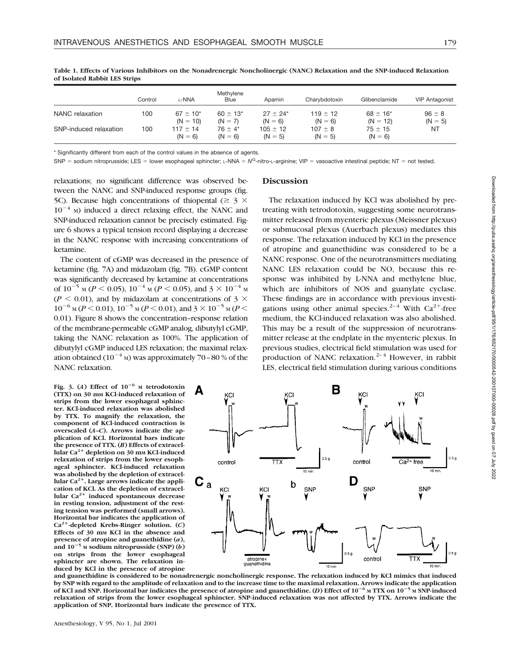|                        | Control | L-NNA                         | Methylene<br><b>Blue</b>   | Apamin                    | Charybdotoxin             | Glibenclamide               | <b>VIP Antagonist</b>   |
|------------------------|---------|-------------------------------|----------------------------|---------------------------|---------------------------|-----------------------------|-------------------------|
| NANC relaxation        | 100     | $67 \pm 10^{*}$<br>$(N = 10)$ | $60 \pm 13$ *<br>$(N = 7)$ | $27 + 24*$<br>$(N = 6)$   | $119 \pm 12$<br>$(N = 6)$ | $68 \pm 16^*$<br>$(N = 12)$ | $96 \pm 8$<br>$(N = 5)$ |
| SNP-induced relaxation | 100     | $117 \pm 14$<br>$(N = 6)$     | $76 + 4*$<br>$(N = 6)$     | $105 \pm 12$<br>$(N = 5)$ | $107 \pm 8$<br>$(N = 5)$  | $75 \pm 15$<br>$(N = 6)$    | NT                      |

**Table 1. Effects of Various Inhibitors on the Nonadrenergic Noncholinergic (NANC) Relaxation and the SNP-induced Relaxation of Isolated Rabbit LES Strips**

\* Significantly different from each of the control values in the absence of agents.

SNP = sodium nitroprusside; LES = lower esophageal sphincter; L-NNA = N<sup>G</sup>-nitro-L-arginine; VIP = vasoactive intestinal peptide; NT = not tested.

relaxations; no significant difference was observed between the NANC and SNP-induced response groups (fig. 5C). Because high concentrations of thiopental ( $\geq 3 \times$  $10^{-4}$  M) induced a direct relaxing effect, the NANC and SNP-induced relaxation cannot be precisely estimated. Figure 6 shows a typical tension record displaying a decrease in the NANC response with increasing concentrations of ketamine.

The content of cGMP was decreased in the presence of ketamine (fig. 7A) and midazolam (fig. 7B). cGMP content was significantly decreased by ketamine at concentrations of  $10^{-5}$  M ( $P < 0.05$ ),  $10^{-4}$  M ( $P < 0.05$ ), and  $3 \times 10^{-4}$  M  $(P \le 0.01)$ , and by midazolam at concentrations of 3  $\times$  $10^{-6}$  M (*P* < 0.01),  $10^{-5}$  M (*P* < 0.01), and  $3 \times 10^{-5}$  M (*P* < 0.01). Figure 8 shows the concentration–response relation of the membrane-permeable cGMP analog, dibutylyl cGMP, taking the NANC relaxation as 100%. The application of dibutylyl cGMP induced LES relaxation; the maximal relaxation obtained ( $10^{-4}$  M) was approximately 70 – 80 % of the NANC relaxation.

Fig. 3. (*A*) Effect of  $10^{-6}$  M tetrodotoxin **(TTX) on 30 mM KCl-induced relaxation of strips from the lower esophageal sphincter. KCl-induced relaxation was abolished by TTX. To magnify the relaxation, the component of KCl-induced contraction is overscaled (***A***–***C***). Arrows indicate the application of KCl. Horizontal bars indicate the presence of TTX. (***B***) Effects of extracellular Ca2**<sup>1</sup> **depletion on 30 mM KCl-induced relaxation of strips from the lower esophageal sphincter. KCl-induced relaxation was abolished by the depletion of extracel**lular Ca<sup>2+</sup>. Large arrows indicate the appli**cation of KCl. As the depletion of extracellular Ca2**<sup>1</sup> **induced spontaneous decrease in resting tension, adjustment of the resting tension was performed (small arrows). Horizontal bar indicates the application of Ca2**<sup>1</sup>**-depleted Krebs-Ringer solution. (***C***) Effects of 30 mM KCl in the absence and presence of atropine and guanethidine (***a***),** and  $10^{-5}$  M sodium nitroprusside (SNP)  $(b)$ **on strips from the lower esophageal sphincter are shown. The relaxation induced by KCl in the presence of atropine**

## **Discussion**

The relaxation induced by KCl was abolished by pretreating with tetrodotoxin, suggesting some neurotransmitter released from myenteric plexus (Meissner plexus) or submucosal plexus (Auerbach plexus) mediates this response. The relaxation induced by KCl in the presence of atropine and guanethidine was considered to be a NANC response. One of the neurotransmitters mediating NANC LES relaxation could be NO, because this response was inhibited by L-NNA and methylene blue, which are inhibitors of NOS and guanylate cyclase. These findings are in accordance with previous investigations using other animal species.<sup>2-4</sup> With  $Ca^{2+}$ -free medium, the KCl-induced relaxation was also abolished. This may be a result of the suppression of neurotransmitter release at the endplate in the myenteric plexus. In previous studies, electrical field stimulation was used for production of NANC relaxation. $2-4$  However, in rabbit LES, electrical field stimulation during various conditions



**and guanethidine is considered to be nonadrenergic noncholinergic response. The relaxation induced by KCl mimics that induced by SNP with regard to the amplitude of relaxation and to the increase time to the maximal relaxation. Arrows indicate the application of KCl and SNP. Horizontal bar indicates the presence of atropine and guanethidine. (***D***) Effect of 10**2**<sup>6</sup> <sup>M</sup> TTX on 10**2**<sup>5</sup> <sup>M</sup> SNP-induced relaxation of strips from the lower esophageal sphincter. SNP-induced relaxation was not affected by TTX. Arrows indicate the application of SNP. Horizontal bars indicate the presence of TTX.**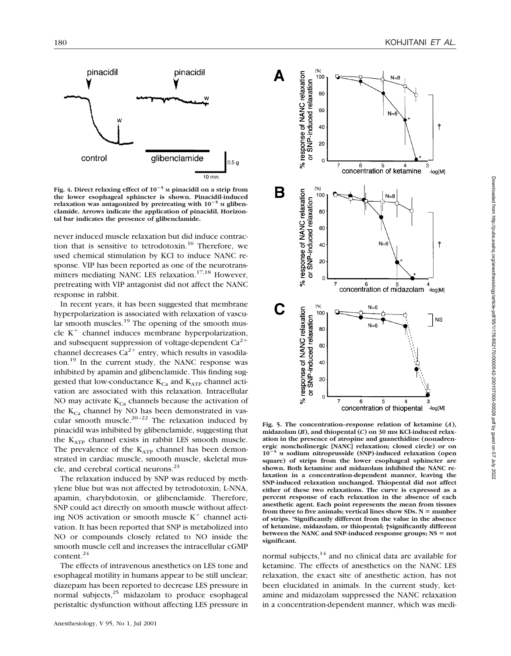

**Fig. 4. Direct relaxing effect of 10**2**<sup>5</sup> <sup>M</sup> pinacidil on a strip from the lower esophageal sphincter is shown. Pinacidil-induced** relaxation was antagonized by pretreating with  $10^{-5}$  M gliben**clamide. Arrows indicate the application of pinacidil. Horizontal bar indicates the presence of glibenclamide.**

never induced muscle relaxation but did induce contraction that is sensitive to tetrodotoxin.<sup>16</sup> Therefore, we used chemical stimulation by KCl to induce NANC response. VIP has been reported as one of the neurotransmitters mediating NANC LES relaxation.<sup>17,18</sup> However, pretreating with VIP antagonist did not affect the NANC response in rabbit.

In recent years, it has been suggested that membrane hyperpolarization is associated with relaxation of vascu- $\mu$  ar smooth muscles.<sup>19</sup> The opening of the smooth muscle  $K^+$  channel induces membrane hyperpolarization, and subsequent suppression of voltage-dependent  $Ca^{2+}$ channel decreases  $Ca^{2+}$  entry, which results in vasodilation.19 In the current study, the NANC response was inhibited by apamin and glibenclamide. This finding suggested that low-conductance  $K_{C_3}$  and  $K_{ATP}$  channel activation are associated with this relaxation. Intracellular NO may activate  $K_{Ca}$  channels because the activation of the  $K_{C_2}$  channel by NO has been demonstrated in vascular smooth muscle.<sup>20–22</sup> The relaxation induced by pinacidil was inhibited by glibenclamide, suggesting that the  $K_{ATP}$  channel exists in rabbit LES smooth muscle. The prevalence of the  $K_{ATP}$  channel has been demonstrated in cardiac muscle, smooth muscle, skeletal muscle, and cerebral cortical neurons.<sup>23</sup>

The relaxation induced by SNP was reduced by methylene blue but was not affected by tetrodotoxin, L-NNA, apamin, charybdotoxin, or glibenclamide. Therefore, SNP could act directly on smooth muscle without affecting NOS activation or smooth muscle  $K^+$  channel activation. It has been reported that SNP is metabolized into NO or compounds closely related to NO inside the smooth muscle cell and increases the intracellular cGMP content.24

The effects of intravenous anesthetics on LES tone and esophageal motility in humans appear to be still unclear; diazepam has been reported to decrease LES pressure in normal subjects,<sup>25</sup> midazolam to produce esophageal peristaltic dysfunction without affecting LES pressure in



**Fig. 5. The concentration–response relation of ketamine (***A***), midazolam (***B***), and thiopental (***C***) on 30 mM KCl-induced relaxation in the presence of atropine and guanethidine (nonadrenergic noncholinergic [NANC] relaxation; closed circle) or on 10**2**<sup>5</sup> <sup>M</sup> sodium nitroprusside (SNP)-induced relaxation (open square) of strips from the lower esophageal sphincter are shown. Both ketamine and midazolam inhibited the NANC relaxation in a concentration-dependent manner, leaving the SNP-induced relaxation unchanged. Thiopental did not affect either of these two relaxations. The curve is expressed as a percent response of each relaxation in the absence of each anesthetic agent. Each point represents the mean from tissues** from three to five animals; vertical lines show  $SDs$ .  $N =$  number **of strips. \*Significantly different from the value in the absence of ketamine, midazolam, or thiopental; †significantly different between the NANC and SNP-induced response groups; NS = not significant.**

normal subjects, $14$  and no clinical data are available for ketamine. The effects of anesthetics on the NANC LES relaxation, the exact site of anesthetic action, has not been elucidated in animals. In the current study, ketamine and midazolam suppressed the NANC relaxation in a concentration-dependent manner, which was medi-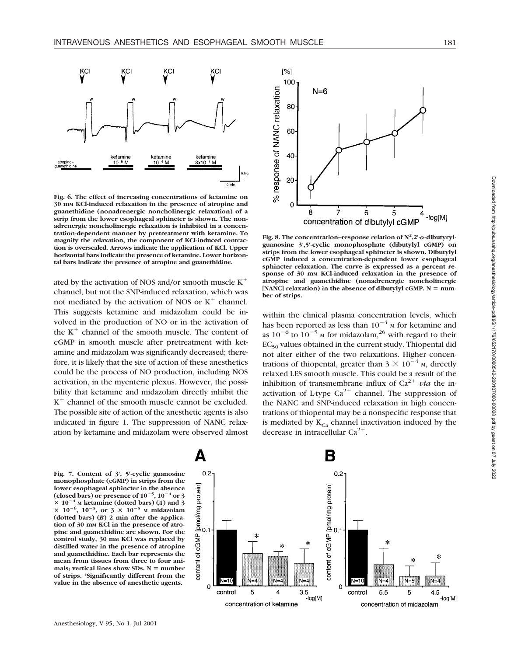

**Fig. 6. The effect of increasing concentrations of ketamine on 30 mM KCl-induced relaxation in the presence of atropine and guanethidine (nonadrenergic noncholinergic relaxation) of a strip from the lower esophageal sphincter is shown. The nonadrenergic noncholinergic relaxation is inhibited in a concentration-dependent manner by pretreatment with ketamine. To magnify the relaxation, the component of KCl-induced contraction is overscaled. Arrows indicate the application of KCl. Upper horizontal bars indicate the presence of ketamine. Lower horizontal bars indicate the presence of atropine and guanethidine.**

ated by the activation of NOS and/or smooth muscle  $K^+$ channel, but not the SNP-induced relaxation, which was not mediated by the activation of NOS or  $K^+$  channel. This suggests ketamine and midazolam could be involved in the production of NO or in the activation of the  $K^+$  channel of the smooth muscle. The content of cGMP in smooth muscle after pretreatment with ketamine and midazolam was significantly decreased; therefore, it is likely that the site of action of these anesthetics could be the process of NO production, including NOS activation, in the myenteric plexus. However, the possibility that ketamine and midazolam directly inhibit the  $K^+$  channel of the smooth muscle cannot be excluded. The possible site of action of the anesthetic agents is also indicated in figure 1. The suppression of NANC relaxation by ketamine and midazolam were observed almost



Fig. 8. The concentration–response relation of  $N^2$ ,2'- $o$ -dibutyryl**guanosine 3',5'-cyclic monophosphate (dibutylyl cGMP) on strips from the lower esophageal sphincter is shown. Dibutylyl cGMP induced a concentration-dependent lower esophageal sphincter relaxation. The curve is expressed as a percent response of 30 mM KCl-induced relaxation in the presence of atropine and guanethidine (nonadrenergic noncholinergic**  $[NAME]$  relaxation) in the absence of dibutylyl cGMP.  $N = num$ **ber of strips.**

within the clinical plasma concentration levels, which has been reported as less than  $10^{-4}$  M for ketamine and as  $10^{-6}$  to  $10^{-5}$  M for midazolam,<sup>26</sup> with regard to their  $EC_{50}$  values obtained in the current study. Thiopental did not alter either of the two relaxations. Higher concentrations of thiopental, greater than  $3 \times 10^{-4}$  M, directly relaxed LES smooth muscle. This could be a result of the inhibition of transmembrane influx of  $Ca^{2+}$  *via* the inactivation of L-type  $Ca^{2+}$  channel. The suppression of the NANC and SNP-induced relaxation in high concentrations of thiopental may be a nonspecific response that is mediated by  $K_{Ca}$  channel inactivation induced by the decrease in intracellular  $Ca^{2+}$ .

**Fig. 7. Content of 3', 5'-cyclic guanosine monophosphate (cGMP) in strips from the lower esophageal sphincter in the absence** (closed bars) or presence of  $10^{-5}$ ,  $10^{-4}$  or 3  $\times$  10<sup>-4</sup> M ketamine (dotted bars) (*A*) and 3  $\times$  10<sup>-6</sup>, 10<sup>-5</sup>, or 3  $\times$  10<sup>-5</sup> M midazolam **(dotted bars) (***B***) 2 min after the application of 30 mM KCl in the presence of atropine and guanethidine are shown. For the control study, 30 mM KCl was replaced by distilled water in the presence of atropine and guanethidine. Each bar represents the mean from tissues from three to four ani**mals; vertical lines show SDs. N = number **of strips. \*Significantly different from the value in the absence of anesthetic agents.**

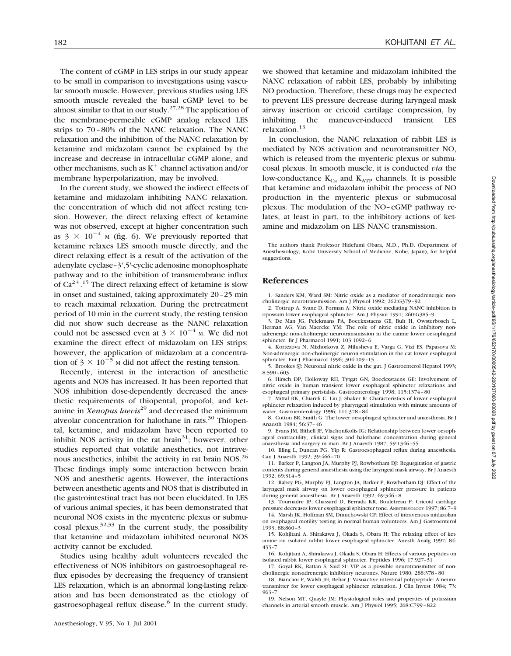The content of cGMP in LES strips in our study appear to be small in comparison to investigations using vascular smooth muscle. However, previous studies using LES smooth muscle revealed the basal cGMP level to be almost similar to that in our study.<sup>27,28</sup> The application of the membrane-permeable cGMP analog relaxed LES strips to 70–80% of the NANC relaxation. The NANC relaxation and the inhibition of the NANC relaxation by ketamine and midazolam cannot be explained by the increase and decrease in intracellular cGMP alone, and other mechanisms, such as  $K^+$  channel activation and/or membrane hyperpolarization, may be involved.

In the current study, we showed the indirect effects of ketamine and midazolam inhibiting NANC relaxation, the concentration of which did not affect resting tension. However, the direct relaxing effect of ketamine was not observed, except at higher concentration such as  $3 \times 10^{-4}$  M (fig. 6). We previously reported that ketamine relaxes LES smooth muscle directly, and the direct relaxing effect is a result of the activation of the adenylate cyclase–3',5'-cyclic adenosine monophosphate pathway and to the inhibition of transmembrane influx of  $Ca^{2+}$ .<sup>15</sup> The direct relaxing effect of ketamine is slow in onset and sustained, taking approximately 20–25 min to reach maximal relaxation. During the pretreatment period of 10 min in the current study, the resting tension did not show such decrease as the NANC relaxation could not be assessed even at  $3 \times 10^{-4}$  M. We did not examine the direct effect of midazolam on LES strips; however, the application of midazolam at a concentration of  $3 \times 10^{-5}$  M did not affect the resting tension.

Recently, interest in the interaction of anesthetic agents and NOS has increased. It has been reported that NOS inhibition dose-dependently decreased the anesthetic requirements of thiopental, propofol, and ketamine in *Xenopus laevis*<sup>29</sup> and decreased the minimum alveolar concentration for halothane in rats. $30$  Thiopental, ketamine, and midazolam have been reported to inhibit NOS activity in the rat brain<sup>31</sup>; however, other studies reported that volatile anesthetics, not intravenous anesthetics, inhibit the activity in rat brain NOS.<sup>26</sup> These findings imply some interaction between brain NOS and anesthetic agents. However, the interactions between anesthetic agents and NOS that is distributed in the gastrointestinal tract has not been elucidated. In LES of various animal species, it has been demonstrated that neuronal NOS exists in the myenteric plexus or submucosal plexus.<sup>32,33</sup> In the current study, the possibility that ketamine and midazolam inhibited neuronal NOS activity cannot be excluded.

Studies using healthy adult volunteers revealed the effectiveness of NOS inhibitors on gastroesophageal reflux episodes by decreasing the frequency of transient LES relaxation, which is an abnormal long-lasting relaxation and has been demonstrated as the etiology of gastroesophageal reflux disease.<sup>6</sup> In the current study,

we showed that ketamine and midazolam inhibited the NANC relaxation of rabbit LES, probably by inhibiting NO production. Therefore, these drugs may be expected to prevent LES pressure decrease during laryngeal mask airway insertion or cricoid cartilage compression, by inhibiting the maneuver-induced transient LES relaxation.13

In conclusion, the NANC relaxation of rabbit LES is mediated by NOS activation and neurotransmitter NO, which is released from the myenteric plexus or submucosal plexus. In smooth muscle, it is conducted *via* the low-conductance  $K_{Ca}$  and  $K_{ATP}$  channels. It is possible that ketamine and midazolam inhibit the process of NO production in the myenteric plexus or submucosal plexus. The modulation of the NO–cGMP pathway relates, at least in part, to the inhibitory actions of ketamine and midazolam on LES NANC transmission.

The authors thank Professor Hidefumi Obara, M.D., Ph.D. (Department of Anesthesiology, Kobe University School of Medicine, Kobe, Japan), for helpful suggestions.

#### **References**

1. Sanders KM, Ward SM: Nitric oxide as a mediator of nonadrenergic noncholinergic neurotransmission. Am J Physiol 1992; 262:G379–92

2. Tottrup A, Svane D, Forman A: Nitric oxide mediating NANC inhibition in opossum lower esophageal sphincter. Am J Physiol 1991; 260:G385–9

3. De Man JG, Pelckmans PA, Boeckxstaens GE, Bult H, Owsterbosch L, Herman AG, Van Maercke YM: The role of nitric oxide in inhibitory nonadrenergic non-cholinergic neurotransmission in the canine lower oesophageal sphincter. Br J Pharmacol 1991; 103:1092–6

4. Kortezova N, Mizhorkova Z, Milusheva E, Varga G, Vizi ES, Papasova M: Non-adrenergic non-cholinergic neuron stimulation in the cat lower esophageal sphincter. Eur J Pharmacol 1996; 304:109–15

5. Brookes SJ: Neuronal nitric oxide in the gut. J Gastroenterol Hepatol 1993; 8:590–603

6. Hirsch DP, Holloway RH, Tytgat GN, Boeckxstaens GE: Involvement of nitric oxide in human transient lower esophageal sphincter relaxations and esophageal primary peristalsis. Gastroenterology 1998; 115:1374–80

7. Mittal RK, Chiareli C, Liu J, Shaker R: Characteristics of lower esophageal sphincter relaxation induced by pharyngeal stimulation with minute amounts of water. Gastroenterology 1996; 111:378–84

8. Cotton BR, Smith G: The lower oesophageal sphincter and anaesthesia. Br J Anaesth 1984; 56:37–46

9. Evans JM, Bithell JF, Vlachonikolis IG: Relationship between lower oesophageal contractility, clinical signs and halothane concentration during general anaesthesia and surgery in man. Br J Anaesth 1987; 59:1346–55

10. Illing L, Duncan PG, Yip R: Gastroesophageal reflux during anaesthesia. Can J Anaesth 1992; 39:466–70

11. Barker P, Langton JA, Murphy PJ, Rowbotham DJ: Regurgitation of gastric contents during general anaesthesia using the laryngeal mask airway. Br J Anaesth 1992; 69:314–5

12. Rabey PG, Murphy PJ, Langton JA, Barker P, Rowbotham DJ: Effect of the laryngeal mask airway on lower oesophageal sphincter pressure in patients during general anaesthesia. Br J Anaesth 1992; 69:346–8

13. Tournadre JP, Chassard D, Berrada KR, Bouletreau P: Cricoid cartilage pressure decreases lower esophageal sphincter tone. ANESTHESIOLOGY 1997; 86:7–9

14. Marsh JK, Hoffman SM, Dmuchowski CF: Effect of intravenous midazolam on esophageal motility testing in normal human volunteers. Am J Gastroenterol 1993; 88:860–3

15. Kohjitani A, Shirakawa J, Okada S, Obara H: The relaxing effect of ketamine on isolated rabbit lower esophageal sphincter. Anesth Analg 1997; 84: 433–7

16. Kohjitani A, Shirakawa J, Okada S, Obara H: Effects of various peptides on isolated rabbit lower esophageal sphincter. Peptides 1996; 17:927–31

17. Goyal RK, Rattan S, Said SI: VIP as a possible neurotransmitter of noncholinergic non-adrenergic inhibitory neurones. Nature 1980; 288:378–80

18. Biancani P, Walsh JH, Behar J: Vasoactive intestinal polypeptide: A neurotransmitter for lower esophageal sphincter relaxation. J Clin Invest 1984; 73: 963–7

19. Nelson MT, Quayle JM: Physiological roles and properties of potassium channels in arterial smooth muscle. Am J Physiol 1995; 268:C799–822